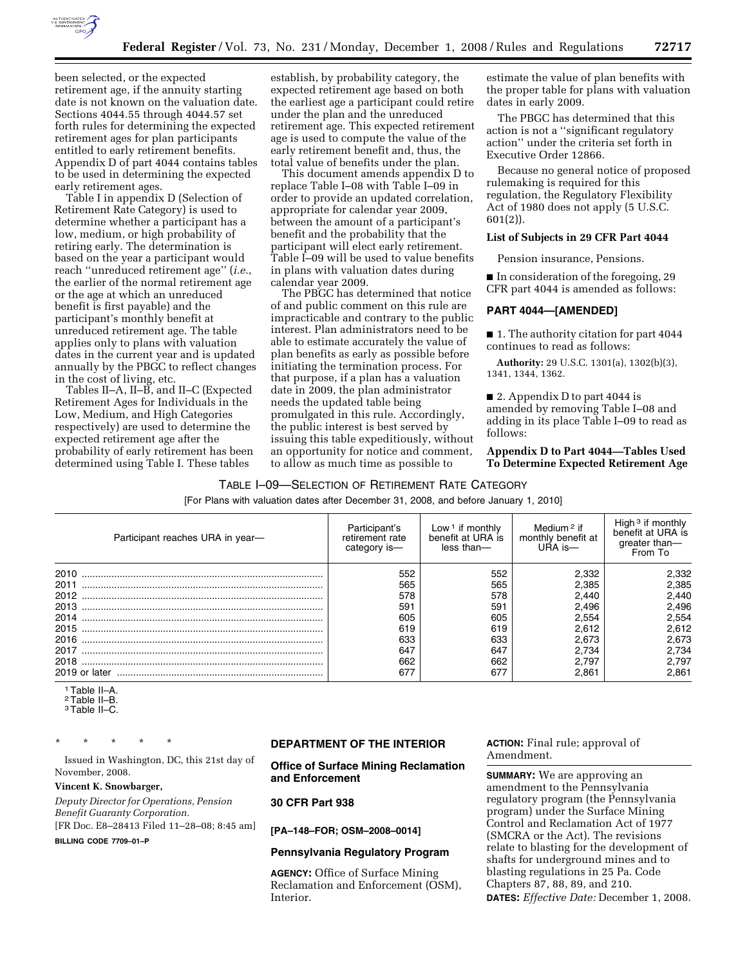

been selected, or the expected retirement age, if the annuity starting date is not known on the valuation date. Sections 4044.55 through 4044.57 set forth rules for determining the expected retirement ages for plan participants entitled to early retirement benefits. Appendix D of part 4044 contains tables to be used in determining the expected early retirement ages.

Table I in appendix D (Selection of Retirement Rate Category) is used to determine whether a participant has a low, medium, or high probability of retiring early. The determination is based on the year a participant would reach ''unreduced retirement age'' (*i.e.*, the earlier of the normal retirement age or the age at which an unreduced benefit is first payable) and the participant's monthly benefit at unreduced retirement age. The table applies only to plans with valuation dates in the current year and is updated annually by the PBGC to reflect changes in the cost of living, etc.

Tables II–A, II–B, and II–C (Expected Retirement Ages for Individuals in the Low, Medium, and High Categories respectively) are used to determine the expected retirement age after the probability of early retirement has been determined using Table I. These tables

establish, by probability category, the expected retirement age based on both the earliest age a participant could retire under the plan and the unreduced retirement age. This expected retirement age is used to compute the value of the early retirement benefit and, thus, the total value of benefits under the plan.

This document amends appendix D to replace Table I–08 with Table I–09 in order to provide an updated correlation, appropriate for calendar year 2009, between the amount of a participant's benefit and the probability that the participant will elect early retirement. Table I–09 will be used to value benefits in plans with valuation dates during calendar year 2009.

The PBGC has determined that notice of and public comment on this rule are impracticable and contrary to the public interest. Plan administrators need to be able to estimate accurately the value of plan benefits as early as possible before initiating the termination process. For that purpose, if a plan has a valuation date in 2009, the plan administrator needs the updated table being promulgated in this rule. Accordingly, the public interest is best served by issuing this table expeditiously, without an opportunity for notice and comment, to allow as much time as possible to

estimate the value of plan benefits with the proper table for plans with valuation dates in early 2009.

The PBGC has determined that this action is not a ''significant regulatory action'' under the criteria set forth in Executive Order 12866.

Because no general notice of proposed rulemaking is required for this regulation, the Regulatory Flexibility Act of 1980 does not apply (5 U.S.C. 601(2)).

#### **List of Subjects in 29 CFR Part 4044**

Pension insurance, Pensions.

■ In consideration of the foregoing, 29 CFR part 4044 is amended as follows:

#### **PART 4044—[AMENDED]**

■ 1. The authority citation for part 4044 continues to read as follows:

**Authority:** 29 U.S.C. 1301(a), 1302(b)(3), 1341, 1344, 1362.

■ 2. Appendix D to part 4044 is amended by removing Table I–08 and adding in its place Table I–09 to read as follows:

**Appendix D to Part 4044—Tables Used To Determine Expected Retirement Age** 

#### TABLE I–09—SELECTION OF RETIREMENT RATE CATEGORY

[For Plans with valuation dates after December 31, 2008, and before January 1, 2010]

| Participant reaches URA in year- | Participant's<br>retirement rate<br>category is- | Low $\frac{1}{1}$ if monthly<br>benefit at URA is<br>less than- | Medium <sup>2</sup> if<br>monthly benefit at<br>$UBA$ is $-$ | High $3$ if monthly<br>benefit at URA is<br>greater than-<br>From To |
|----------------------------------|--------------------------------------------------|-----------------------------------------------------------------|--------------------------------------------------------------|----------------------------------------------------------------------|
| 2010                             | 552                                              | 552                                                             | 2.332                                                        | 2,332                                                                |
| 2011                             | 565                                              | 565                                                             | 2.385                                                        | 2,385                                                                |
| 2012                             | 578                                              | 578                                                             | 2.440                                                        | 2,440                                                                |
|                                  | 591                                              | 591                                                             | 2.496                                                        | 2,496                                                                |
| 2014                             | 605                                              | 605                                                             | 2.554                                                        | 2,554                                                                |
|                                  | 619                                              | 619                                                             | 2.612                                                        | 2,612                                                                |
|                                  | 633                                              | 633                                                             | 2.673                                                        | 2.673                                                                |
| 2017                             | 647                                              | 647                                                             | 2.734                                                        | 2.734                                                                |
| 2018                             | 662                                              | 662                                                             | 2.797                                                        | 2.797                                                                |
| 2019 or later                    | 677                                              | 677                                                             | 2.861                                                        | 2.861                                                                |

1Table II–A.

2Table II–B. 3Table II–C.

\* \* \* \* \*

Issued in Washington, DC, this 21st day of November, 2008.

**Vincent K. Snowbarger,** 

*Deputy Director for Operations, Pension Benefit Guaranty Corporation.* 

[FR Doc. E8–28413 Filed 11–28–08; 8:45 am] **BILLING CODE 7709–01–P** 

**DEPARTMENT OF THE INTERIOR** 

**Office of Surface Mining Reclamation and Enforcement** 

# **30 CFR Part 938**

**[PA–148–FOR; OSM–2008–0014]** 

#### **Pennsylvania Regulatory Program**

**AGENCY:** Office of Surface Mining Reclamation and Enforcement (OSM), Interior.

**ACTION:** Final rule; approval of Amendment.

**SUMMARY:** We are approving an amendment to the Pennsylvania regulatory program (the Pennsylvania program) under the Surface Mining Control and Reclamation Act of 1977 (SMCRA or the Act). The revisions relate to blasting for the development of shafts for underground mines and to blasting regulations in 25 Pa. Code Chapters 87, 88, 89, and 210. **DATES:** *Effective Date:* December 1, 2008.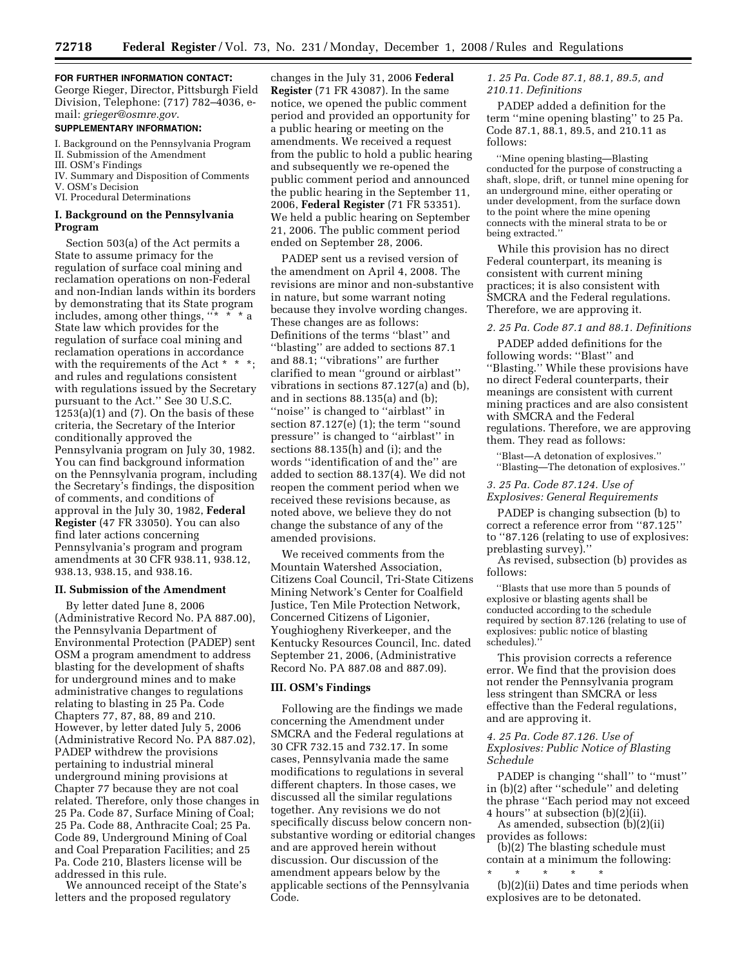# **FOR FURTHER INFORMATION CONTACT:**

George Rieger, Director, Pittsburgh Field Division, Telephone: (717) 782–4036, email: *grieger@osmre.gov*.

## **SUPPLEMENTARY INFORMATION:**

I. Background on the Pennsylvania Program II. Submission of the Amendment

- III. OSM's Findings IV. Summary and Disposition of Comments
- V. OSM's Decision
- VI. Procedural Determinations

## **I. Background on the Pennsylvania Program**

Section 503(a) of the Act permits a State to assume primacy for the regulation of surface coal mining and reclamation operations on non-Federal and non-Indian lands within its borders by demonstrating that its State program includes, among other things,  $\cdots$ State law which provides for the regulation of surface coal mining and reclamation operations in accordance with the requirements of the Act \* \* and rules and regulations consistent with regulations issued by the Secretary pursuant to the Act.'' See 30 U.S.C.  $1253(a)(1)$  and  $(7)$ . On the basis of these criteria, the Secretary of the Interior conditionally approved the Pennsylvania program on July 30, 1982. You can find background information on the Pennsylvania program, including the Secretary's findings, the disposition of comments, and conditions of approval in the July 30, 1982, **Federal Register** (47 FR 33050). You can also find later actions concerning Pennsylvania's program and program amendments at 30 CFR 938.11, 938.12, 938.13, 938.15, and 938.16.

#### **II. Submission of the Amendment**

By letter dated June 8, 2006 (Administrative Record No. PA 887.00), the Pennsylvania Department of Environmental Protection (PADEP) sent OSM a program amendment to address blasting for the development of shafts for underground mines and to make administrative changes to regulations relating to blasting in 25 Pa. Code Chapters 77, 87, 88, 89 and 210. However, by letter dated July 5, 2006 (Administrative Record No. PA 887.02), PADEP withdrew the provisions pertaining to industrial mineral underground mining provisions at Chapter 77 because they are not coal related. Therefore, only those changes in 25 Pa. Code 87, Surface Mining of Coal; 25 Pa. Code 88, Anthracite Coal; 25 Pa. Code 89, Underground Mining of Coal and Coal Preparation Facilities; and 25 Pa. Code 210, Blasters license will be addressed in this rule.

We announced receipt of the State's letters and the proposed regulatory

changes in the July 31, 2006 **Federal Register** (71 FR 43087). In the same notice, we opened the public comment period and provided an opportunity for a public hearing or meeting on the amendments. We received a request from the public to hold a public hearing and subsequently we re-opened the public comment period and announced the public hearing in the September 11, 2006, **Federal Register** (71 FR 53351). We held a public hearing on September 21, 2006. The public comment period ended on September 28, 2006.

PADEP sent us a revised version of the amendment on April 4, 2008. The revisions are minor and non-substantive in nature, but some warrant noting because they involve wording changes. These changes are as follows: Definitions of the terms ''blast'' and ''blasting'' are added to sections 87.1 and 88.1; ''vibrations'' are further clarified to mean ''ground or airblast'' vibrations in sections 87.127(a) and (b), and in sections 88.135(a) and (b); ''noise'' is changed to ''airblast'' in section 87.127(e) (1); the term ''sound pressure'' is changed to ''airblast'' in sections 88.135(h) and (i); and the words ''identification of and the'' are added to section 88.137(4). We did not reopen the comment period when we received these revisions because, as noted above, we believe they do not change the substance of any of the amended provisions.

We received comments from the Mountain Watershed Association, Citizens Coal Council, Tri-State Citizens Mining Network's Center for Coalfield Justice, Ten Mile Protection Network, Concerned Citizens of Ligonier, Youghiogheny Riverkeeper, and the Kentucky Resources Council, Inc. dated September 21, 2006, (Administrative Record No. PA 887.08 and 887.09).

#### **III. OSM's Findings**

Following are the findings we made concerning the Amendment under SMCRA and the Federal regulations at 30 CFR 732.15 and 732.17. In some cases, Pennsylvania made the same modifications to regulations in several different chapters. In those cases, we discussed all the similar regulations together. Any revisions we do not specifically discuss below concern nonsubstantive wording or editorial changes and are approved herein without discussion. Our discussion of the amendment appears below by the applicable sections of the Pennsylvania Code.

# *1. 25 Pa. Code 87.1, 88.1, 89.5, and 210.11. Definitions*

PADEP added a definition for the term ''mine opening blasting'' to 25 Pa. Code 87.1, 88.1, 89.5, and 210.11 as follows:

''Mine opening blasting—Blasting conducted for the purpose of constructing a shaft, slope, drift, or tunnel mine opening for an underground mine, either operating or under development, from the surface down to the point where the mine opening connects with the mineral strata to be or being extracted.''

While this provision has no direct Federal counterpart, its meaning is consistent with current mining practices; it is also consistent with SMCRA and the Federal regulations. Therefore, we are approving it.

#### *2. 25 Pa. Code 87.1 and 88.1. Definitions*

PADEP added definitions for the following words: ''Blast'' and ''Blasting.'' While these provisions have no direct Federal counterparts, their meanings are consistent with current mining practices and are also consistent with SMCRA and the Federal regulations. Therefore, we are approving them. They read as follows:

'Blast-A detonation of explosives." ''Blasting—The detonation of explosives.''

*3. 25 Pa. Code 87.124. Use of Explosives: General Requirements* 

PADEP is changing subsection (b) to correct a reference error from ''87.125'' to ''87.126 (relating to use of explosives: preblasting survey).''

As revised, subsection (b) provides as follows:

''Blasts that use more than 5 pounds of explosive or blasting agents shall be conducted according to the schedule required by section 87.126 (relating to use of explosives: public notice of blasting schedules).

This provision corrects a reference error. We find that the provision does not render the Pennsylvania program less stringent than SMCRA or less effective than the Federal regulations, and are approving it.

## *4. 25 Pa. Code 87.126. Use of Explosives: Public Notice of Blasting Schedule*

PADEP is changing "shall" to "must" in (b)(2) after ''schedule'' and deleting the phrase ''Each period may not exceed 4 hours'' at subsection (b)(2)(ii).

As amended, subsection (b)(2)(ii) provides as follows:

(b)(2) The blasting schedule must contain at a minimum the following:

\* \* \* \* \* (b)(2)(ii) Dates and time periods when explosives are to be detonated.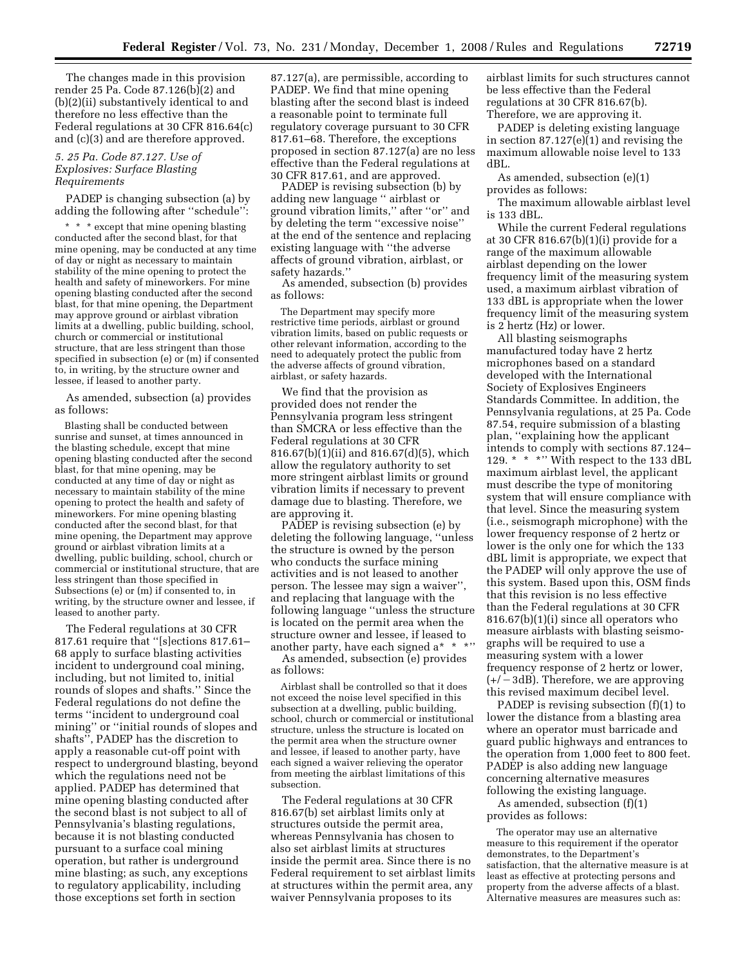The changes made in this provision render 25 Pa. Code 87.126(b)(2) and (b)(2)(ii) substantively identical to and therefore no less effective than the Federal regulations at 30 CFR 816.64(c) and (c)(3) and are therefore approved.

# *5. 25 Pa. Code 87.127. Use of Explosives: Surface Blasting Requirements*

PADEP is changing subsection (a) by adding the following after ''schedule'':

\* \* \* except that mine opening blasting conducted after the second blast, for that mine opening, may be conducted at any time of day or night as necessary to maintain stability of the mine opening to protect the health and safety of mineworkers. For mine opening blasting conducted after the second blast, for that mine opening, the Department may approve ground or airblast vibration limits at a dwelling, public building, school, church or commercial or institutional structure, that are less stringent than those specified in subsection (e) or (m) if consented to, in writing, by the structure owner and lessee, if leased to another party.

As amended, subsection (a) provides as follows:

Blasting shall be conducted between sunrise and sunset, at times announced in the blasting schedule, except that mine opening blasting conducted after the second blast, for that mine opening, may be conducted at any time of day or night as necessary to maintain stability of the mine opening to protect the health and safety of mineworkers. For mine opening blasting conducted after the second blast, for that mine opening, the Department may approve ground or airblast vibration limits at a dwelling, public building, school, church or commercial or institutional structure, that are less stringent than those specified in Subsections (e) or (m) if consented to, in writing, by the structure owner and lessee, if leased to another party.

The Federal regulations at 30 CFR 817.61 require that ''[s]ections 817.61– 68 apply to surface blasting activities incident to underground coal mining, including, but not limited to, initial rounds of slopes and shafts.'' Since the Federal regulations do not define the terms ''incident to underground coal mining'' or ''initial rounds of slopes and shafts'', PADEP has the discretion to apply a reasonable cut-off point with respect to underground blasting, beyond which the regulations need not be applied. PADEP has determined that mine opening blasting conducted after the second blast is not subject to all of Pennsylvania's blasting regulations, because it is not blasting conducted pursuant to a surface coal mining operation, but rather is underground mine blasting; as such, any exceptions to regulatory applicability, including those exceptions set forth in section

87.127(a), are permissible, according to PADEP. We find that mine opening blasting after the second blast is indeed a reasonable point to terminate full regulatory coverage pursuant to 30 CFR 817.61–68. Therefore, the exceptions proposed in section 87.127(a) are no less effective than the Federal regulations at 30 CFR 817.61, and are approved.

PADEP is revising subsection (b) by adding new language '' airblast or ground vibration limits,'' after ''or'' and by deleting the term ''excessive noise'' at the end of the sentence and replacing existing language with ''the adverse affects of ground vibration, airblast, or safety hazards.''

As amended, subsection (b) provides as follows:

The Department may specify more restrictive time periods, airblast or ground vibration limits, based on public requests or other relevant information, according to the need to adequately protect the public from the adverse affects of ground vibration, airblast, or safety hazards.

We find that the provision as provided does not render the Pennsylvania program less stringent than SMCRA or less effective than the Federal regulations at 30 CFR 816.67(b)(1)(ii) and 816.67(d)(5), which allow the regulatory authority to set more stringent airblast limits or ground vibration limits if necessary to prevent damage due to blasting. Therefore, we are approving it.

PADEP is revising subsection (e) by deleting the following language, ''unless the structure is owned by the person who conducts the surface mining activities and is not leased to another person. The lessee may sign a waiver'', and replacing that language with the following language ''unless the structure is located on the permit area when the structure owner and lessee, if leased to another party, have each signed a\* \* \*"

As amended, subsection (e) provides as follows:

Airblast shall be controlled so that it does not exceed the noise level specified in this subsection at a dwelling, public building, school, church or commercial or institutional structure, unless the structure is located on the permit area when the structure owner and lessee, if leased to another party, have each signed a waiver relieving the operator from meeting the airblast limitations of this subsection.

The Federal regulations at 30 CFR 816.67(b) set airblast limits only at structures outside the permit area, whereas Pennsylvania has chosen to also set airblast limits at structures inside the permit area. Since there is no Federal requirement to set airblast limits at structures within the permit area, any waiver Pennsylvania proposes to its

airblast limits for such structures cannot be less effective than the Federal regulations at 30 CFR 816.67(b). Therefore, we are approving it.

PADEP is deleting existing language in section 87.127(e)(1) and revising the maximum allowable noise level to 133 dBL.

As amended, subsection (e)(1) provides as follows:

The maximum allowable airblast level is 133 dBL.

While the current Federal regulations at 30 CFR 816.67(b)(1)(i) provide for a range of the maximum allowable airblast depending on the lower frequency limit of the measuring system used, a maximum airblast vibration of 133 dBL is appropriate when the lower frequency limit of the measuring system is 2 hertz (Hz) or lower.

All blasting seismographs manufactured today have 2 hertz microphones based on a standard developed with the International Society of Explosives Engineers Standards Committee. In addition, the Pennsylvania regulations, at 25 Pa. Code 87.54, require submission of a blasting plan, ''explaining how the applicant intends to comply with sections 87.124– 129. \* \* \*'' With respect to the 133 dBL maximum airblast level, the applicant must describe the type of monitoring system that will ensure compliance with that level. Since the measuring system (i.e., seismograph microphone) with the lower frequency response of 2 hertz or lower is the only one for which the 133 dBL limit is appropriate, we expect that the PADEP will only approve the use of this system. Based upon this, OSM finds that this revision is no less effective than the Federal regulations at 30 CFR 816.67(b)(1)(i) since all operators who measure airblasts with blasting seismographs will be required to use a measuring system with a lower frequency response of 2 hertz or lower,  $(+/-3dB)$ . Therefore, we are approving this revised maximum decibel level.

PADEP is revising subsection (f)(1) to lower the distance from a blasting area where an operator must barricade and guard public highways and entrances to the operation from 1,000 feet to 800 feet. PADEP is also adding new language concerning alternative measures following the existing language.

As amended, subsection (f)(1) provides as follows:

The operator may use an alternative measure to this requirement if the operator demonstrates, to the Department's satisfaction, that the alternative measure is at least as effective at protecting persons and property from the adverse affects of a blast. Alternative measures are measures such as: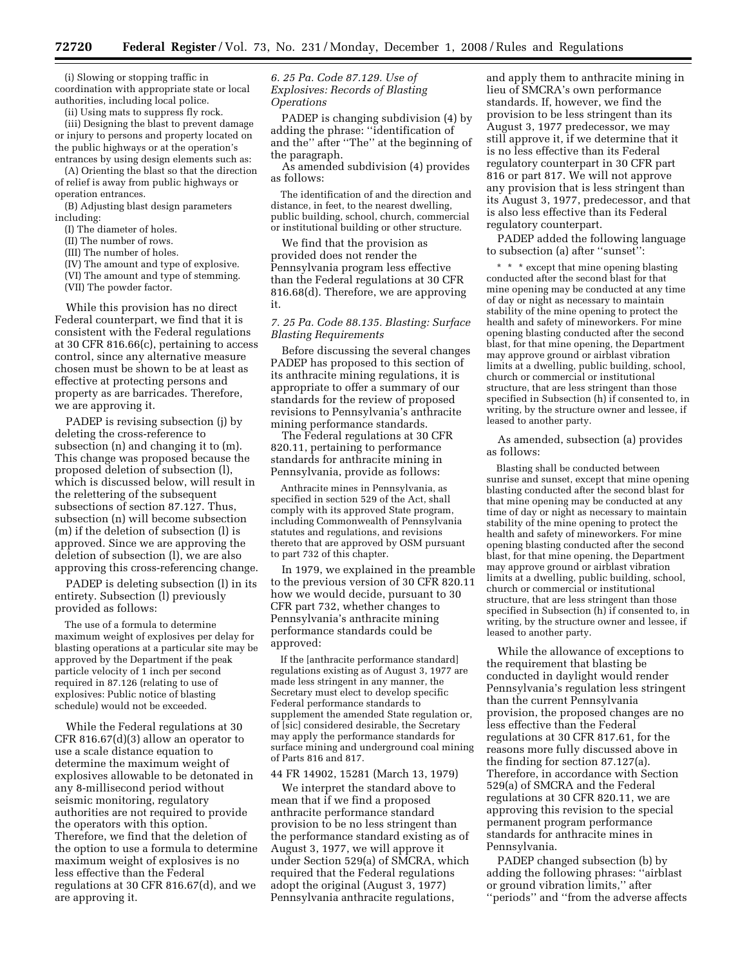(i) Slowing or stopping traffic in coordination with appropriate state or local authorities, including local police.

(ii) Using mats to suppress fly rock.

(iii) Designing the blast to prevent damage or injury to persons and property located on the public highways or at the operation's entrances by using design elements such as:

(A) Orienting the blast so that the direction of relief is away from public highways or operation entrances.

(B) Adjusting blast design parameters including:

(I) The diameter of holes.

(II) The number of rows.

(III) The number of holes.

(IV) The amount and type of explosive.

(VI) The amount and type of stemming.

(VII) The powder factor.

While this provision has no direct Federal counterpart, we find that it is consistent with the Federal regulations at 30 CFR 816.66(c), pertaining to access control, since any alternative measure chosen must be shown to be at least as effective at protecting persons and property as are barricades. Therefore, we are approving it.

PADEP is revising subsection (j) by deleting the cross-reference to subsection (n) and changing it to (m). This change was proposed because the proposed deletion of subsection (l), which is discussed below, will result in the relettering of the subsequent subsections of section 87.127. Thus, subsection (n) will become subsection (m) if the deletion of subsection (l) is approved. Since we are approving the deletion of subsection (l), we are also approving this cross-referencing change.

PADEP is deleting subsection (l) in its entirety. Subsection (l) previously provided as follows:

The use of a formula to determine maximum weight of explosives per delay for blasting operations at a particular site may be approved by the Department if the peak particle velocity of 1 inch per second required in 87.126 (relating to use of explosives: Public notice of blasting schedule) would not be exceeded.

While the Federal regulations at 30 CFR 816.67(d)(3) allow an operator to use a scale distance equation to determine the maximum weight of explosives allowable to be detonated in any 8-millisecond period without seismic monitoring, regulatory authorities are not required to provide the operators with this option. Therefore, we find that the deletion of the option to use a formula to determine maximum weight of explosives is no less effective than the Federal regulations at 30 CFR 816.67(d), and we are approving it.

# *6. 25 Pa. Code 87.129. Use of Explosives: Records of Blasting Operations*

PADEP is changing subdivision (4) by adding the phrase: ''identification of and the'' after ''The'' at the beginning of the paragraph.

As amended subdivision (4) provides as follows:

The identification of and the direction and distance, in feet, to the nearest dwelling, public building, school, church, commercial or institutional building or other structure.

We find that the provision as provided does not render the Pennsylvania program less effective than the Federal regulations at 30 CFR 816.68(d). Therefore, we are approving it.

## *7. 25 Pa. Code 88.135. Blasting: Surface Blasting Requirements*

Before discussing the several changes PADEP has proposed to this section of its anthracite mining regulations, it is appropriate to offer a summary of our standards for the review of proposed revisions to Pennsylvania's anthracite mining performance standards.

The Federal regulations at 30 CFR 820.11, pertaining to performance standards for anthracite mining in Pennsylvania, provide as follows:

Anthracite mines in Pennsylvania, as specified in section 529 of the Act, shall comply with its approved State program, including Commonwealth of Pennsylvania statutes and regulations, and revisions thereto that are approved by OSM pursuant to part 732 of this chapter.

In 1979, we explained in the preamble to the previous version of 30 CFR 820.11 how we would decide, pursuant to 30 CFR part 732, whether changes to Pennsylvania's anthracite mining performance standards could be approved:

If the [anthracite performance standard] regulations existing as of August 3, 1977 are made less stringent in any manner, the Secretary must elect to develop specific Federal performance standards to supplement the amended State regulation or, of [sic] considered desirable, the Secretary may apply the performance standards for surface mining and underground coal mining of Parts 816 and 817.

## 44 FR 14902, 15281 (March 13, 1979)

We interpret the standard above to mean that if we find a proposed anthracite performance standard provision to be no less stringent than the performance standard existing as of August 3, 1977, we will approve it under Section 529(a) of SMCRA, which required that the Federal regulations adopt the original (August 3, 1977) Pennsylvania anthracite regulations,

and apply them to anthracite mining in lieu of SMCRA's own performance standards. If, however, we find the provision to be less stringent than its August 3, 1977 predecessor, we may still approve it, if we determine that it is no less effective than its Federal regulatory counterpart in 30 CFR part 816 or part 817. We will not approve any provision that is less stringent than its August 3, 1977, predecessor, and that is also less effective than its Federal regulatory counterpart.

PADEP added the following language to subsection (a) after ''sunset'':

\* \* \* except that mine opening blasting conducted after the second blast for that mine opening may be conducted at any time of day or night as necessary to maintain stability of the mine opening to protect the health and safety of mineworkers. For mine opening blasting conducted after the second blast, for that mine opening, the Department may approve ground or airblast vibration limits at a dwelling, public building, school, church or commercial or institutional structure, that are less stringent than those specified in Subsection (h) if consented to, in writing, by the structure owner and lessee, if leased to another party.

As amended, subsection (a) provides as follows:

Blasting shall be conducted between sunrise and sunset, except that mine opening blasting conducted after the second blast for that mine opening may be conducted at any time of day or night as necessary to maintain stability of the mine opening to protect the health and safety of mineworkers. For mine opening blasting conducted after the second blast, for that mine opening, the Department may approve ground or airblast vibration limits at a dwelling, public building, school, church or commercial or institutional structure, that are less stringent than those specified in Subsection (h) if consented to, in writing, by the structure owner and lessee, if leased to another party.

While the allowance of exceptions to the requirement that blasting be conducted in daylight would render Pennsylvania's regulation less stringent than the current Pennsylvania provision, the proposed changes are no less effective than the Federal regulations at 30 CFR 817.61, for the reasons more fully discussed above in the finding for section 87.127(a). Therefore, in accordance with Section 529(a) of SMCRA and the Federal regulations at 30 CFR 820.11, we are approving this revision to the special permanent program performance standards for anthracite mines in Pennsylvania.

PADEP changed subsection (b) by adding the following phrases: ''airblast or ground vibration limits,'' after ''periods'' and ''from the adverse affects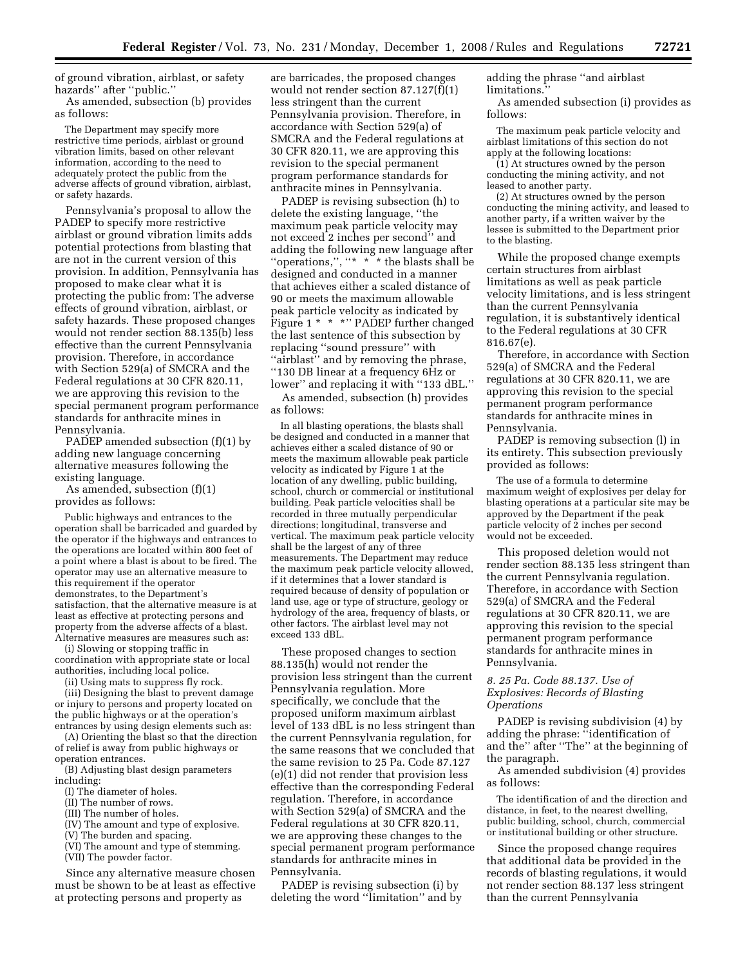of ground vibration, airblast, or safety hazards'' after ''public.''

As amended, subsection (b) provides as follows:

The Department may specify more restrictive time periods, airblast or ground vibration limits, based on other relevant information, according to the need to adequately protect the public from the adverse affects of ground vibration, airblast, or safety hazards.

Pennsylvania's proposal to allow the PADEP to specify more restrictive airblast or ground vibration limits adds potential protections from blasting that are not in the current version of this provision. In addition, Pennsylvania has proposed to make clear what it is protecting the public from: The adverse effects of ground vibration, airblast, or safety hazards. These proposed changes would not render section 88.135(b) less effective than the current Pennsylvania provision. Therefore, in accordance with Section 529(a) of SMCRA and the Federal regulations at 30 CFR 820.11, we are approving this revision to the special permanent program performance standards for anthracite mines in Pennsylvania.

PADEP amended subsection (f)(1) by adding new language concerning alternative measures following the existing language.

As amended, subsection (f)(1) provides as follows:

Public highways and entrances to the operation shall be barricaded and guarded by the operator if the highways and entrances to the operations are located within 800 feet of a point where a blast is about to be fired. The operator may use an alternative measure to this requirement if the operator demonstrates, to the Department's satisfaction, that the alternative measure is at least as effective at protecting persons and property from the adverse affects of a blast. Alternative measures are measures such as:

(i) Slowing or stopping traffic in coordination with appropriate state or local authorities, including local police.

(ii) Using mats to suppress fly rock.

(iii) Designing the blast to prevent damage or injury to persons and property located on the public highways or at the operation's entrances by using design elements such as:

(A) Orienting the blast so that the direction of relief is away from public highways or operation entrances.

(B) Adjusting blast design parameters including:

- (I) The diameter of holes.
- (II) The number of rows.
- (III) The number of holes.
- (IV) The amount and type of explosive.
- (V) The burden and spacing.
- (VI) The amount and type of stemming.
- (VII) The powder factor.

Since any alternative measure chosen must be shown to be at least as effective at protecting persons and property as

are barricades, the proposed changes would not render section 87.127(f)(1) less stringent than the current Pennsylvania provision. Therefore, in accordance with Section 529(a) of SMCRA and the Federal regulations at 30 CFR 820.11, we are approving this revision to the special permanent program performance standards for anthracite mines in Pennsylvania.

PADEP is revising subsection (h) to delete the existing language, ''the maximum peak particle velocity may not exceed 2 inches per second'' and adding the following new language after "operations,", "\* \* \* \* the blasts shall be designed and conducted in a manner that achieves either a scaled distance of 90 or meets the maximum allowable peak particle velocity as indicated by Figure 1 \* \* \*" PADEP further changed the last sentence of this subsection by replacing ''sound pressure'' with ''airblast'' and by removing the phrase, ''130 DB linear at a frequency 6Hz or lower'' and replacing it with ''133 dBL.''

As amended, subsection (h) provides as follows:

In all blasting operations, the blasts shall be designed and conducted in a manner that achieves either a scaled distance of 90 or meets the maximum allowable peak particle velocity as indicated by Figure 1 at the location of any dwelling, public building, school, church or commercial or institutional building. Peak particle velocities shall be recorded in three mutually perpendicular directions; longitudinal, transverse and vertical. The maximum peak particle velocity shall be the largest of any of three measurements. The Department may reduce the maximum peak particle velocity allowed, if it determines that a lower standard is required because of density of population or land use, age or type of structure, geology or hydrology of the area, frequency of blasts, or other factors. The airblast level may not exceed 133 dBL.

These proposed changes to section 88.135(h) would not render the provision less stringent than the current Pennsylvania regulation. More specifically, we conclude that the proposed uniform maximum airblast level of 133 dBL is no less stringent than the current Pennsylvania regulation, for the same reasons that we concluded that the same revision to 25 Pa. Code 87.127 (e)(1) did not render that provision less effective than the corresponding Federal regulation. Therefore, in accordance with Section 529(a) of SMCRA and the Federal regulations at 30 CFR 820.11, we are approving these changes to the special permanent program performance standards for anthracite mines in Pennsylvania.

PADEP is revising subsection (i) by deleting the word ''limitation'' and by adding the phrase ''and airblast limitations.''

As amended subsection (i) provides as follows:

The maximum peak particle velocity and airblast limitations of this section do not apply at the following locations:

(1) At structures owned by the person conducting the mining activity, and not leased to another party.

(2) At structures owned by the person conducting the mining activity, and leased to another party, if a written waiver by the lessee is submitted to the Department prior to the blasting.

While the proposed change exempts certain structures from airblast limitations as well as peak particle velocity limitations, and is less stringent than the current Pennsylvania regulation, it is substantively identical to the Federal regulations at 30 CFR 816.67(e).

Therefore, in accordance with Section 529(a) of SMCRA and the Federal regulations at 30 CFR 820.11, we are approving this revision to the special permanent program performance standards for anthracite mines in Pennsylvania.

PADEP is removing subsection (l) in its entirety. This subsection previously provided as follows:

The use of a formula to determine maximum weight of explosives per delay for blasting operations at a particular site may be approved by the Department if the peak particle velocity of 2 inches per second would not be exceeded.

This proposed deletion would not render section 88.135 less stringent than the current Pennsylvania regulation. Therefore, in accordance with Section 529(a) of SMCRA and the Federal regulations at 30 CFR 820.11, we are approving this revision to the special permanent program performance standards for anthracite mines in Pennsylvania.

## *8. 25 Pa. Code 88.137. Use of Explosives: Records of Blasting Operations*

PADEP is revising subdivision (4) by adding the phrase: ''identification of and the'' after ''The'' at the beginning of the paragraph.

As amended subdivision (4) provides as follows:

The identification of and the direction and distance, in feet, to the nearest dwelling, public building, school, church, commercial or institutional building or other structure.

Since the proposed change requires that additional data be provided in the records of blasting regulations, it would not render section 88.137 less stringent than the current Pennsylvania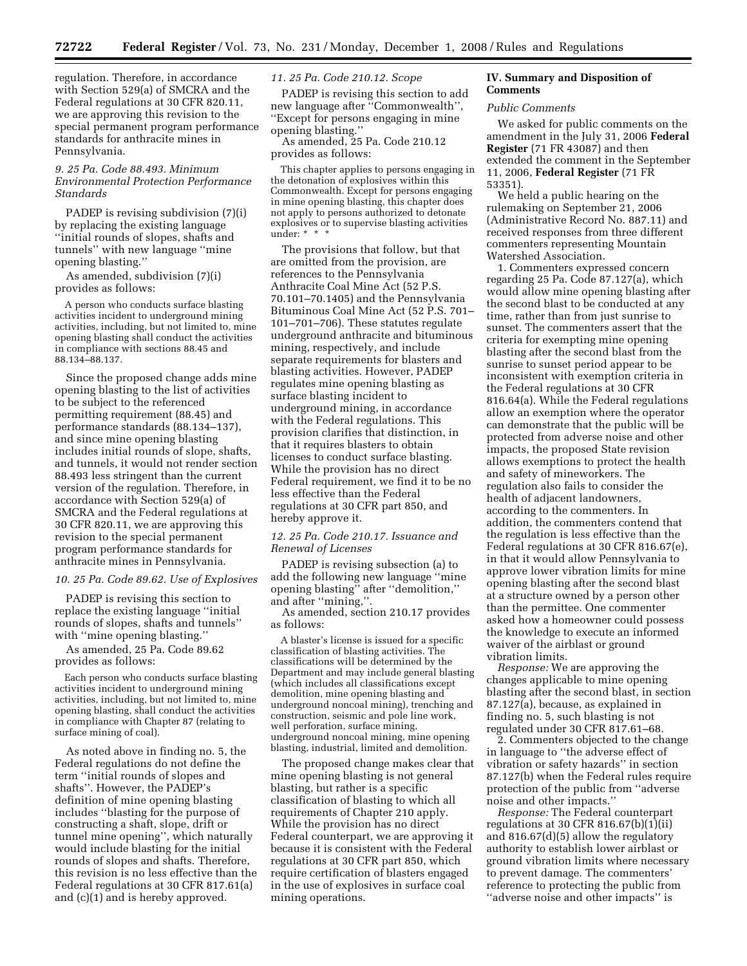regulation. Therefore, in accordance with Section 529(a) of SMCRA and the Federal regulations at 30 CFR 820.11, we are approving this revision to the special permanent program performance standards for anthracite mines in Pennsylvania.

## *9. 25 Pa. Code 88.493. Minimum Environmental Protection Performance Standards*

PADEP is revising subdivision (7)(i) by replacing the existing language ''initial rounds of slopes, shafts and tunnels'' with new language ''mine opening blasting.''

As amended, subdivision (7)(i) provides as follows:

A person who conducts surface blasting activities incident to underground mining activities, including, but not limited to, mine opening blasting shall conduct the activities in compliance with sections 88.45 and 88.134–88.137.

Since the proposed change adds mine opening blasting to the list of activities to be subject to the referenced permitting requirement (88.45) and performance standards (88.134–137), and since mine opening blasting includes initial rounds of slope, shafts, and tunnels, it would not render section 88.493 less stringent than the current version of the regulation. Therefore, in accordance with Section 529(a) of SMCRA and the Federal regulations at 30 CFR 820.11, we are approving this revision to the special permanent program performance standards for anthracite mines in Pennsylvania.

*10. 25 Pa. Code 89.62. Use of Explosives* 

PADEP is revising this section to replace the existing language ''initial rounds of slopes, shafts and tunnels'' with ''mine opening blasting.''

As amended, 25 Pa. Code 89.62 provides as follows:

Each person who conducts surface blasting activities incident to underground mining activities, including, but not limited to, mine opening blasting, shall conduct the activities in compliance with Chapter 87 (relating to surface mining of coal).

As noted above in finding no. 5, the Federal regulations do not define the term ''initial rounds of slopes and shafts''. However, the PADEP's definition of mine opening blasting includes ''blasting for the purpose of constructing a shaft, slope, drift or tunnel mine opening'', which naturally would include blasting for the initial rounds of slopes and shafts. Therefore, this revision is no less effective than the Federal regulations at 30 CFR 817.61(a) and (c)(1) and is hereby approved.

# *11. 25 Pa. Code 210.12. Scope*

PADEP is revising this section to add new language after ''Commonwealth'', ''Except for persons engaging in mine opening blasting.''

As amended, 25 Pa. Code 210.12 provides as follows:

This chapter applies to persons engaging in the detonation of explosives within this Commonwealth. Except for persons engaging in mine opening blasting, this chapter does not apply to persons authorized to detonate explosives or to supervise blasting activities under: \* \* \*

The provisions that follow, but that are omitted from the provision, are references to the Pennsylvania Anthracite Coal Mine Act (52 P.S. 70.101–70.1405) and the Pennsylvania Bituminous Coal Mine Act (52 P.S. 701– 101–701–706). These statutes regulate underground anthracite and bituminous mining, respectively, and include separate requirements for blasters and blasting activities. However, PADEP regulates mine opening blasting as surface blasting incident to underground mining, in accordance with the Federal regulations. This provision clarifies that distinction, in that it requires blasters to obtain licenses to conduct surface blasting. While the provision has no direct Federal requirement, we find it to be no less effective than the Federal regulations at 30 CFR part 850, and hereby approve it.

## *12. 25 Pa. Code 210.17. Issuance and Renewal of Licenses*

PADEP is revising subsection (a) to add the following new language ''mine opening blasting'' after ''demolition,'' and after ''mining,''.

As amended, section 210.17 provides as follows:

A blaster's license is issued for a specific classification of blasting activities. The classifications will be determined by the Department and may include general blasting (which includes all classifications except demolition, mine opening blasting and underground noncoal mining), trenching and construction, seismic and pole line work, well perforation, surface mining, underground noncoal mining, mine opening blasting, industrial, limited and demolition.

The proposed change makes clear that mine opening blasting is not general blasting, but rather is a specific classification of blasting to which all requirements of Chapter 210 apply. While the provision has no direct Federal counterpart, we are approving it because it is consistent with the Federal regulations at 30 CFR part 850, which require certification of blasters engaged in the use of explosives in surface coal mining operations.

# **IV. Summary and Disposition of Comments**

#### *Public Comments*

We asked for public comments on the amendment in the July 31, 2006 **Federal Register** (71 FR 43087) and then extended the comment in the September 11, 2006, **Federal Register** (71 FR 53351).

We held a public hearing on the rulemaking on September 21, 2006 (Administrative Record No. 887.11) and received responses from three different commenters representing Mountain Watershed Association.

1. Commenters expressed concern regarding 25 Pa. Code 87.127(a), which would allow mine opening blasting after the second blast to be conducted at any time, rather than from just sunrise to sunset. The commenters assert that the criteria for exempting mine opening blasting after the second blast from the sunrise to sunset period appear to be inconsistent with exemption criteria in the Federal regulations at 30 CFR 816.64(a). While the Federal regulations allow an exemption where the operator can demonstrate that the public will be protected from adverse noise and other impacts, the proposed State revision allows exemptions to protect the health and safety of mineworkers. The regulation also fails to consider the health of adjacent landowners, according to the commenters. In addition, the commenters contend that the regulation is less effective than the Federal regulations at 30 CFR 816.67(e), in that it would allow Pennsylvania to approve lower vibration limits for mine opening blasting after the second blast at a structure owned by a person other than the permittee. One commenter asked how a homeowner could possess the knowledge to execute an informed waiver of the airblast or ground vibration limits.

*Response:* We are approving the changes applicable to mine opening blasting after the second blast, in section 87.127(a), because, as explained in finding no. 5, such blasting is not regulated under 30 CFR 817.61–68.

2. Commenters objected to the change in language to ''the adverse effect of vibration or safety hazards'' in section 87.127(b) when the Federal rules require protection of the public from ''adverse noise and other impacts.''

*Response:* The Federal counterpart regulations at 30 CFR 816.67(b)(1)(ii) and 816.67(d)(5) allow the regulatory authority to establish lower airblast or ground vibration limits where necessary to prevent damage. The commenters' reference to protecting the public from ''adverse noise and other impacts'' is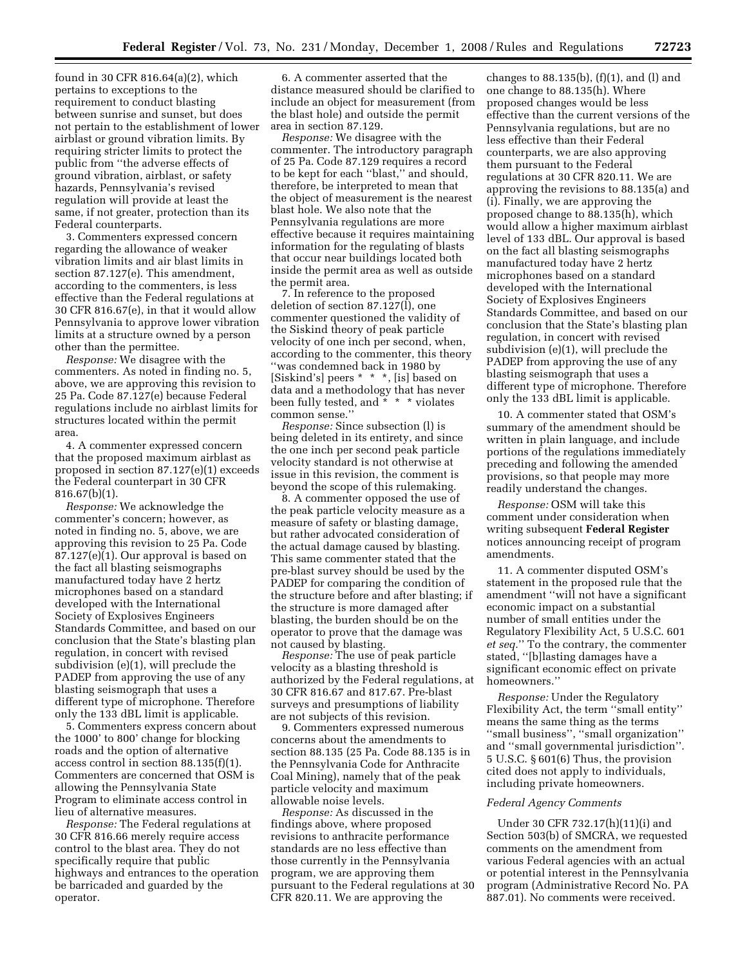found in 30 CFR 816.64(a)(2), which pertains to exceptions to the requirement to conduct blasting between sunrise and sunset, but does not pertain to the establishment of lower airblast or ground vibration limits. By requiring stricter limits to protect the public from ''the adverse effects of ground vibration, airblast, or safety hazards, Pennsylvania's revised regulation will provide at least the same, if not greater, protection than its Federal counterparts.

3. Commenters expressed concern regarding the allowance of weaker vibration limits and air blast limits in section 87.127(e). This amendment, according to the commenters, is less effective than the Federal regulations at 30 CFR 816.67(e), in that it would allow Pennsylvania to approve lower vibration limits at a structure owned by a person other than the permittee.

*Response:* We disagree with the commenters. As noted in finding no. 5, above, we are approving this revision to 25 Pa. Code 87.127(e) because Federal regulations include no airblast limits for structures located within the permit area.

4. A commenter expressed concern that the proposed maximum airblast as proposed in section 87.127(e)(1) exceeds the Federal counterpart in 30 CFR 816.67(b)(1).

*Response:* We acknowledge the commenter's concern; however, as noted in finding no. 5, above, we are approving this revision to 25 Pa. Code 87.127(e)(1). Our approval is based on the fact all blasting seismographs manufactured today have 2 hertz microphones based on a standard developed with the International Society of Explosives Engineers Standards Committee, and based on our conclusion that the State's blasting plan regulation, in concert with revised subdivision (e)(1), will preclude the PADEP from approving the use of any blasting seismograph that uses a different type of microphone. Therefore only the 133 dBL limit is applicable.

5. Commenters express concern about the 1000' to 800' change for blocking roads and the option of alternative access control in section 88.135(f)(1). Commenters are concerned that OSM is allowing the Pennsylvania State Program to eliminate access control in lieu of alternative measures.

*Response:* The Federal regulations at 30 CFR 816.66 merely require access control to the blast area. They do not specifically require that public highways and entrances to the operation be barricaded and guarded by the operator.

6. A commenter asserted that the distance measured should be clarified to include an object for measurement (from the blast hole) and outside the permit area in section 87.129.

*Response:* We disagree with the commenter. The introductory paragraph of 25 Pa. Code 87.129 requires a record to be kept for each ''blast,'' and should, therefore, be interpreted to mean that the object of measurement is the nearest blast hole. We also note that the Pennsylvania regulations are more effective because it requires maintaining information for the regulating of blasts that occur near buildings located both inside the permit area as well as outside the permit area.

7. In reference to the proposed deletion of section 87.127(l), one commenter questioned the validity of the Siskind theory of peak particle velocity of one inch per second, when, according to the commenter, this theory ''was condemned back in 1980 by [Siskind's] peers \* \* \*, [is] based on data and a methodology that has never been fully tested, and  $* * *$  violates common sense.''

*Response:* Since subsection (l) is being deleted in its entirety, and since the one inch per second peak particle velocity standard is not otherwise at issue in this revision, the comment is beyond the scope of this rulemaking.

8. A commenter opposed the use of the peak particle velocity measure as a measure of safety or blasting damage, but rather advocated consideration of the actual damage caused by blasting. This same commenter stated that the pre-blast survey should be used by the PADEP for comparing the condition of the structure before and after blasting; if the structure is more damaged after blasting, the burden should be on the operator to prove that the damage was not caused by blasting.

*Response:* The use of peak particle velocity as a blasting threshold is authorized by the Federal regulations, at 30 CFR 816.67 and 817.67. Pre-blast surveys and presumptions of liability are not subjects of this revision.

9. Commenters expressed numerous concerns about the amendments to section 88.135 (25 Pa. Code 88.135 is in the Pennsylvania Code for Anthracite Coal Mining), namely that of the peak particle velocity and maximum allowable noise levels.

*Response:* As discussed in the findings above, where proposed revisions to anthracite performance standards are no less effective than those currently in the Pennsylvania program, we are approving them pursuant to the Federal regulations at 30 CFR 820.11. We are approving the

changes to  $88.135(b)$ ,  $(f)(1)$ , and  $(l)$  and one change to 88.135(h). Where proposed changes would be less effective than the current versions of the Pennsylvania regulations, but are no less effective than their Federal counterparts, we are also approving them pursuant to the Federal regulations at 30 CFR 820.11. We are approving the revisions to 88.135(a) and (i). Finally, we are approving the proposed change to 88.135(h), which would allow a higher maximum airblast level of 133 dBL. Our approval is based on the fact all blasting seismographs manufactured today have 2 hertz microphones based on a standard developed with the International Society of Explosives Engineers Standards Committee, and based on our conclusion that the State's blasting plan regulation, in concert with revised subdivision (e)(1), will preclude the PADEP from approving the use of any blasting seismograph that uses a different type of microphone. Therefore only the 133 dBL limit is applicable.

10. A commenter stated that OSM's summary of the amendment should be written in plain language, and include portions of the regulations immediately preceding and following the amended provisions, so that people may more readily understand the changes.

*Response:* OSM will take this comment under consideration when writing subsequent **Federal Register**  notices announcing receipt of program amendments.

11. A commenter disputed OSM's statement in the proposed rule that the amendment ''will not have a significant economic impact on a substantial number of small entities under the Regulatory Flexibility Act, 5 U.S.C. 601 *et seq.*'' To the contrary, the commenter stated, ''[b]lasting damages have a significant economic effect on private homeowners.''

*Response:* Under the Regulatory Flexibility Act, the term ''small entity'' means the same thing as the terms ''small business'', ''small organization'' and ''small governmental jurisdiction''. 5 U.S.C. § 601(6) Thus, the provision cited does not apply to individuals, including private homeowners.

#### *Federal Agency Comments*

Under 30 CFR 732.17(h)(11)(i) and Section 503(b) of SMCRA, we requested comments on the amendment from various Federal agencies with an actual or potential interest in the Pennsylvania program (Administrative Record No. PA 887.01). No comments were received.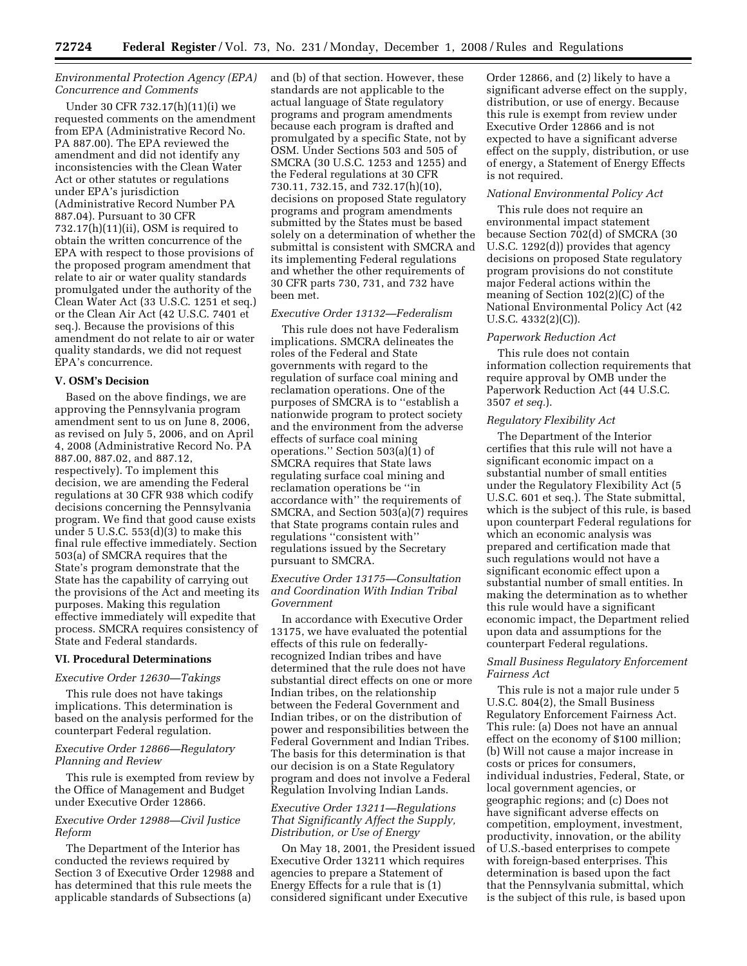# *Environmental Protection Agency (EPA) Concurrence and Comments*

Under 30 CFR 732.17(h)(11)(i) we requested comments on the amendment from EPA (Administrative Record No. PA 887.00). The EPA reviewed the amendment and did not identify any inconsistencies with the Clean Water Act or other statutes or regulations under EPA's jurisdiction (Administrative Record Number PA 887.04). Pursuant to 30 CFR  $732.17(h)(11)(ii)$ , OSM is required to obtain the written concurrence of the EPA with respect to those provisions of the proposed program amendment that relate to air or water quality standards promulgated under the authority of the Clean Water Act (33 U.S.C. 1251 et seq.) or the Clean Air Act (42 U.S.C. 7401 et seq.). Because the provisions of this amendment do not relate to air or water quality standards, we did not request EPA's concurrence.

#### **V. OSM's Decision**

Based on the above findings, we are approving the Pennsylvania program amendment sent to us on June 8, 2006, as revised on July 5, 2006, and on April 4, 2008 (Administrative Record No. PA 887.00, 887.02, and 887.12, respectively). To implement this decision, we are amending the Federal regulations at 30 CFR 938 which codify decisions concerning the Pennsylvania program. We find that good cause exists under 5 U.S.C.  $553(d)(3)$  to make this final rule effective immediately. Section 503(a) of SMCRA requires that the State's program demonstrate that the State has the capability of carrying out the provisions of the Act and meeting its purposes. Making this regulation effective immediately will expedite that process. SMCRA requires consistency of State and Federal standards.

### **VI. Procedural Determinations**

#### *Executive Order 12630—Takings*

This rule does not have takings implications. This determination is based on the analysis performed for the counterpart Federal regulation.

## *Executive Order 12866—Regulatory Planning and Review*

This rule is exempted from review by the Office of Management and Budget under Executive Order 12866.

# *Executive Order 12988—Civil Justice Reform*

The Department of the Interior has conducted the reviews required by Section 3 of Executive Order 12988 and has determined that this rule meets the applicable standards of Subsections (a)

and (b) of that section. However, these standards are not applicable to the actual language of State regulatory programs and program amendments because each program is drafted and promulgated by a specific State, not by OSM. Under Sections 503 and 505 of SMCRA (30 U.S.C. 1253 and 1255) and the Federal regulations at 30 CFR 730.11, 732.15, and 732.17(h)(10), decisions on proposed State regulatory programs and program amendments submitted by the States must be based solely on a determination of whether the submittal is consistent with SMCRA and its implementing Federal regulations and whether the other requirements of 30 CFR parts 730, 731, and 732 have been met.

# *Executive Order 13132—Federalism*

This rule does not have Federalism implications. SMCRA delineates the roles of the Federal and State governments with regard to the regulation of surface coal mining and reclamation operations. One of the purposes of SMCRA is to ''establish a nationwide program to protect society and the environment from the adverse effects of surface coal mining operations.'' Section 503(a)(1) of SMCRA requires that State laws regulating surface coal mining and reclamation operations be ''in accordance with'' the requirements of SMCRA, and Section 503(a)(7) requires that State programs contain rules and regulations ''consistent with'' regulations issued by the Secretary pursuant to SMCRA.

# *Executive Order 13175—Consultation and Coordination With Indian Tribal Government*

In accordance with Executive Order 13175, we have evaluated the potential effects of this rule on federallyrecognized Indian tribes and have determined that the rule does not have substantial direct effects on one or more Indian tribes, on the relationship between the Federal Government and Indian tribes, or on the distribution of power and responsibilities between the Federal Government and Indian Tribes. The basis for this determination is that our decision is on a State Regulatory program and does not involve a Federal Regulation Involving Indian Lands.

## *Executive Order 13211—Regulations That Significantly Affect the Supply, Distribution, or Use of Energy*

On May 18, 2001, the President issued Executive Order 13211 which requires agencies to prepare a Statement of Energy Effects for a rule that is (1) considered significant under Executive

Order 12866, and (2) likely to have a significant adverse effect on the supply, distribution, or use of energy. Because this rule is exempt from review under Executive Order 12866 and is not expected to have a significant adverse effect on the supply, distribution, or use of energy, a Statement of Energy Effects is not required.

#### *National Environmental Policy Act*

This rule does not require an environmental impact statement because Section 702(d) of SMCRA (30 U.S.C. 1292(d)) provides that agency decisions on proposed State regulatory program provisions do not constitute major Federal actions within the meaning of Section 102(2)(C) of the National Environmental Policy Act (42 U.S.C. 4332(2)(C)).

#### *Paperwork Reduction Act*

This rule does not contain information collection requirements that require approval by OMB under the Paperwork Reduction Act (44 U.S.C. 3507 *et seq.*).

## *Regulatory Flexibility Act*

The Department of the Interior certifies that this rule will not have a significant economic impact on a substantial number of small entities under the Regulatory Flexibility Act (5 U.S.C. 601 et seq.). The State submittal, which is the subject of this rule, is based upon counterpart Federal regulations for which an economic analysis was prepared and certification made that such regulations would not have a significant economic effect upon a substantial number of small entities. In making the determination as to whether this rule would have a significant economic impact, the Department relied upon data and assumptions for the counterpart Federal regulations.

# *Small Business Regulatory Enforcement Fairness Act*

This rule is not a major rule under 5 U.S.C. 804(2), the Small Business Regulatory Enforcement Fairness Act. This rule: (a) Does not have an annual effect on the economy of \$100 million; (b) Will not cause a major increase in costs or prices for consumers, individual industries, Federal, State, or local government agencies, or geographic regions; and (c) Does not have significant adverse effects on competition, employment, investment, productivity, innovation, or the ability of U.S.-based enterprises to compete with foreign-based enterprises. This determination is based upon the fact that the Pennsylvania submittal, which is the subject of this rule, is based upon